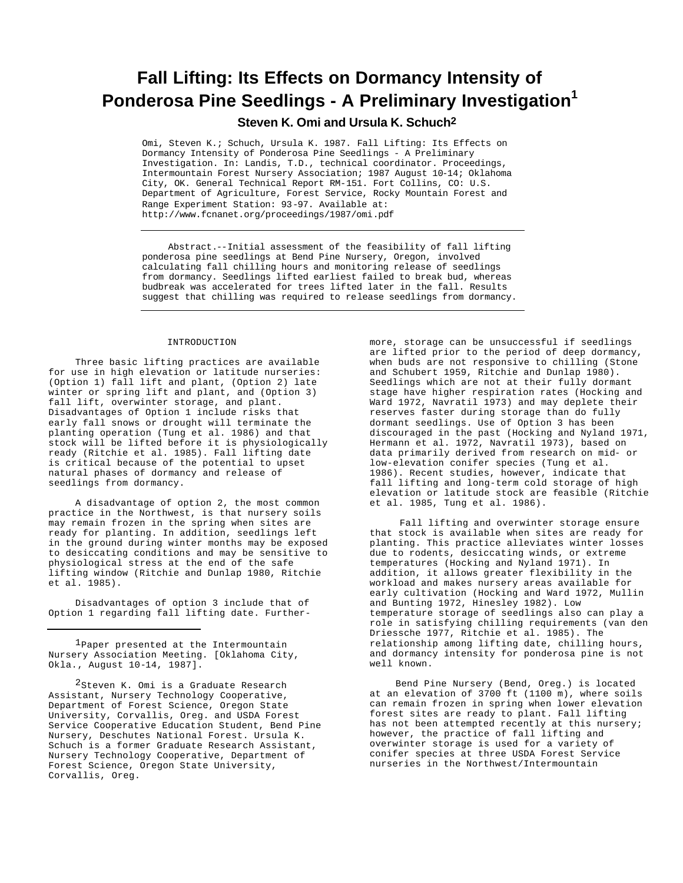# **Fall Lifting: Its Effects on Dormancy Intensity of Ponderosa Pine Seedlings - A Preliminary Investigation<sup>1</sup>**

# **Steven K. Omi and Ursula K. Schuch2**

Omi, Steven K.; Schuch, Ursula K. 1987. Fall Lifting: Its Effects on Dormancy Intensity of Ponderosa Pine Seedlings - A Preliminary Investigation. In: Landis, T.D., technical coordinator. Proceedings, Intermountain Forest Nursery Association; 1987 August 10-14; Oklahoma City, OK. General Technical Report RM-151. Fort Collins, CO: U.S. Department of Agriculture, Forest Service, Rocky Mountain Forest and Range Experiment Station: 93-97. Available at: http://www.fcnanet.org/proceedings/1987/omi.pdf

Abstract.--Initial assessment of the feasibility of fall lifting ponderosa pine seedlings at Bend Pine Nursery, Oregon, involved calculating fall chilling hours and monitoring release of seedlings from dormancy. Seedlings lifted earliest failed to break bud, whereas budbreak was accelerated for trees lifted later in the fall. Results suggest that chilling was required to release seedlings from dormancy.

## INTRODUCTION

Three basic lifting practices are available for use in high elevation or latitude nurseries: (Option 1) fall lift and plant, (Option 2) late winter or spring lift and plant, and (Option 3) fall lift, overwinter storage, and plant. Disadvantages of Option 1 include risks that early fall snows or drought will terminate the planting operation (Tung et al. 1986) and that stock will be lifted before it is physiologically ready (Ritchie et al. 1985). Fall lifting date is critical because of the potential to upset natural phases of dormancy and release of seedlings from dormancy.

A disadvantage of option 2, the most common practice in the Northwest, is that nursery soils may remain frozen in the spring when sites are ready for planting. In addition, seedlings left in the ground during winter months may be exposed to desiccating conditions and may be sensitive to physiological stress at the end of the safe lifting window (Ritchie and Dunlap 1980, Ritchie et al. 1985).

Disadvantages of option 3 include that of Option 1 regarding fall lifting date. Further-

<sup>1</sup>Paper presented at the Intermountain Nursery Association Meeting. [Oklahoma City, Okla., August 10-14, 1987].

<sup>2</sup>Steven K. Omi is a Graduate Research Assistant, Nursery Technology Cooperative, Department of Forest Science, Oregon State University, Corvallis, Oreg. and USDA Forest Service Cooperative Education Student, Bend Pine Nursery, Deschutes National Forest. Ursula K. Schuch is a former Graduate Research Assistant, Nursery Technology Cooperative, Department of Forest Science, Oregon State University, Corvallis, Oreg.

more, storage can be unsuccessful if seedlings are lifted prior to the period of deep dormancy, when buds are not responsive to chilling (Stone and Schubert 1959, Ritchie and Dunlap 1980). Seedlings which are not at their fully dormant stage have higher respiration rates (Hocking and Ward 1972, Navratil 1973) and may deplete their reserves faster during storage than do fully dormant seedlings. Use of Option 3 has been discouraged in the past (Hocking and Nyland 1971, Hermann et al. 1972, Navratil 1973), based on data primarily derived from research on mid- or low-elevation conifer species (Tung et al. 1986). Recent studies, however, indicate that fall lifting and long-term cold storage of high elevation or latitude stock are feasible (Ritchie et al. 1985, Tung et al. 1986).

Fall lifting and overwinter storage ensure that stock is available when sites are ready for planting. This practice alleviates winter losses due to rodents, desiccating winds, or extreme temperatures (Hocking and Nyland 1971). In addition, it allows greater flexibility in the workload and makes nursery areas available for early cultivation (Hocking and Ward 1972, Mullin and Bunting 1972, Hinesley 1982). Low temperature storage of seedlings also can play a role in satisfying chilling requirements (van den Driessche 1977, Ritchie et al. 1985). The relationship among lifting date, chilling hours, and dormancy intensity for ponderosa pine is not well known.

Bend Pine Nursery (Bend, Oreg.) is located at an elevation of 3700 ft (1100 m), where soils can remain frozen in spring when lower elevation forest sites are ready to plant. Fall lifting has not been attempted recently at this nursery; however, the practice of fall lifting and overwinter storage is used for a variety of conifer species at three USDA Forest Service nurseries in the Northwest/Intermountain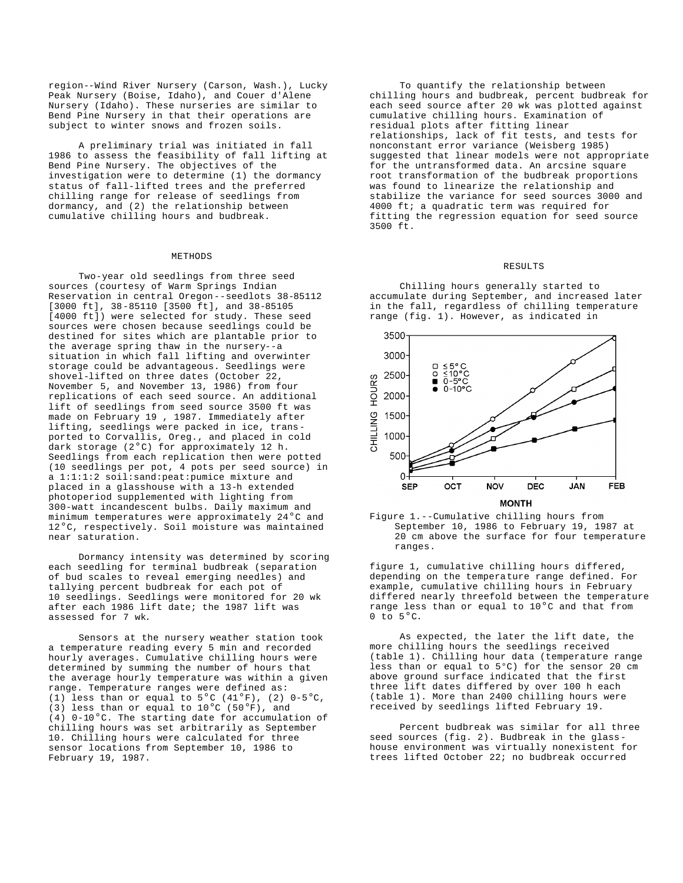region--Wind River Nursery (Carson, Wash.), Lucky Peak Nursery (Boise, Idaho), and Couer d'Alene Nursery (Idaho). These nurseries are similar to Bend Pine Nursery in that their operations are subject to winter snows and frozen soils.

A preliminary trial was initiated in fall 1986 to assess the feasibility of fall lifting at Bend Pine Nursery. The objectives of the investigation were to determine (1) the dormancy status of fall-lifted trees and the preferred chilling range for release of seedlings from dormancy, and (2) the relationship between cumulative chilling hours and budbreak.

### METHODS

Two-year old seedlings from three seed sources (courtesy of Warm Springs Indian Reservation in central Oregon--seedlots 38-85112 [3000 ft], 38-85110 [3500 ft], and 38-85105 [4000 ft]) were selected for study. These seed sources were chosen because seedlings could be destined for sites which are plantable prior to the average spring thaw in the nursery--a situation in which fall lifting and overwinter storage could be advantageous. Seedlings were shovel-lifted on three dates (October 22, November 5, and November 13, 1986) from four replications of each seed source. An additional lift of seedlings from seed source 3500 ft was made on February 19 , 1987. Immediately after lifting, seedlings were packed in ice, transported to Corvallis, Oreg., and placed in cold dark storage (2°C) for approximately 12 h. Seedlings from each replication then were potted (10 seedlings per pot, 4 pots per seed source) in a 1:1:1:2 soil:sand:peat:pumice mixture and placed in a glasshouse with a 13-h extended photoperiod supplemented with lighting from 300-watt incandescent bulbs. Daily maximum and minimum temperatures were approximately 24°C and 12°C, respectively. Soil moisture was maintained near saturation.

Dormancy intensity was determined by scoring each seedling for terminal budbreak (separation of bud scales to reveal emerging needles) and tallying percent budbreak for each pot of 10 seedlings. Seedlings were monitored for 20 wk after each 1986 lift date; the 1987 lift was assessed for 7 wk*.*

Sensors at the nursery weather station took a temperature reading every 5 min and recorded hourly averages. Cumulative chilling hours were determined by summing the number of hours that the average hourly temperature was within a given range. Temperature ranges were defined as: (1) less than or equal to  $5^{\circ}$ C (41°F), (2) 0-5°C, (3) less than or equal to 10°C (50°F), and (4) 0-10°C. The starting date for accumulation of chilling hours was set arbitrarily as September 10. Chilling hours were calculated for three sensor locations from September 10, 1986 to February 19, 1987.

To quantify the relationship between chilling hours and budbreak, percent budbreak for each seed source after 20 wk was plotted against cumulative chilling hours. Examination of residual plots after fitting linear relationships, lack of fit tests, and tests for nonconstant error variance (Weisberg 1985) suggested that linear models were not appropriate for the untransformed data. An arcsine square root transformation of the budbreak proportions was found to linearize the relationship and stabilize the variance for seed sources 3000 and 4000 ft; a quadratic term was required for fitting the regression equation for seed source 3500 ft.

#### RESULTS

Chilling hours generally started to accumulate during September, and increased later in the fall, regardless of chilling temperature range (fig. 1). However, as indicated in





figure 1, cumulative chilling hours differed, depending on the temperature range defined. For example, cumulative chilling hours in February differed nearly threefold between the temperature range less than or equal to 10°C and that from  $0$  to  $5^{\circ}$ C.

As expected, the later the lift date, the more chilling hours the seedlings received (table 1). Chilling hour data (temperature range less than or equal to 5°C) for the sensor 20 cm above ground surface indicated that the first three lift dates differed by over 100 h each (table 1). More than 2400 chilling hours were received by seedlings lifted February 19.

Percent budbreak was similar for all three seed sources (fig. 2). Budbreak in the glasshouse environment was virtually nonexistent for trees lifted October 22; no budbreak occurred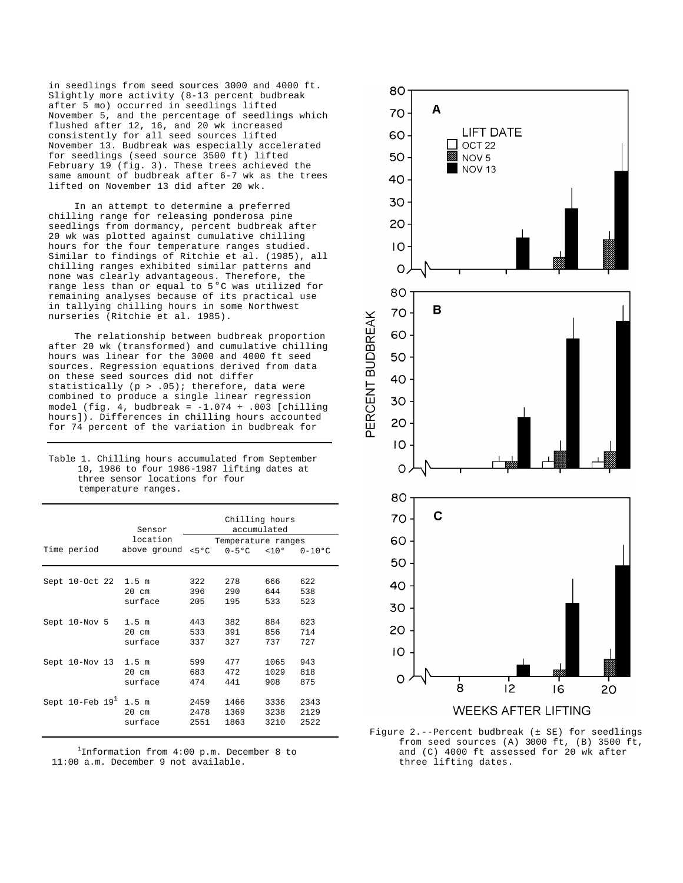in seedlings from seed sources 3000 and 4000 ft. Slightly more activity (8-13 percent budbreak after 5 mo) occurred in seedlings lifted November 5, and the percentage of seedlings which flushed after 12, 16, and 20 wk increased consistently for all seed sources lifted November 13. Budbreak was especially accelerated for seedlings (seed source 3500 ft) lifted February 19 (fig. 3). These trees achieved the same amount of budbreak after 6-7 wk as the trees lifted on November 13 did after 20 wk.

In an attempt to determine a preferred chilling range for releasing ponderosa pine seedlings from dormancy, percent budbreak after 20 wk was plotted against cumulative chilling hours for the four temperature ranges studied. Similar to findings of Ritchie et al. (1985), all chilling ranges exhibited similar patterns and none was clearly advantageous. Therefore, the range less than or equal to 5°C was utilized for remaining analyses because of its practical use in tallying chilling hours in some Northwest nurseries (Ritchie et al. 1985).

The relationship between budbreak proportion after 20 wk (transformed) and cumulative chilling hours was linear for the 3000 and 4000 ft seed sources. Regression equations derived from data on these seed sources did not differ statistically (p > .05); therefore, data were combined to produce a single linear regression model (fig.  $4$ , budbreak =  $-1.074 + .003$  [chilling hours]). Differences in chilling hours accounted for 74 percent of the variation in budbreak for

| Table 1. Chilling hours accumulated from September |  |
|----------------------------------------------------|--|
| 10, 1986 to four 1986-1987 lifting dates at        |  |
| three sensor locations for four                    |  |
| temperature ranges.                                |  |

|                             | Sensor<br>location                  | Chilling hours<br>accumulated<br>Temperature ranges |                      |                      |                      |
|-----------------------------|-------------------------------------|-----------------------------------------------------|----------------------|----------------------|----------------------|
| Time period                 | above ground $<5°C$ 0-5°C $<10°$    |                                                     |                      |                      | $0-10$ °C            |
| Sept 10-Oct 22 1.5 m        | $20 \text{ cm}$<br>surface          | 322<br>396<br>205                                   | 278<br>290<br>195    | 666<br>644<br>533    | 622<br>538<br>523    |
| Sept 10-Nov 5               | 1.5 m<br>$20 \text{ cm}$<br>surface | 443<br>533<br>337                                   | 382<br>391<br>327    | 884<br>856<br>737    | 823<br>714<br>727    |
| Sept 10-Nov 13 1.5 m        | $20$ cm<br>surface                  | 599<br>683<br>474                                   | 477<br>472<br>441    | 1065<br>1029<br>908  | 943<br>818<br>875    |
| Sept $10$ -Feb $19^1$ 1.5 m | $20$ cm<br>surface                  | 2459<br>2478<br>2551                                | 1466<br>1369<br>1863 | 3336<br>3238<br>3210 | 2343<br>2129<br>2522 |

1 Information from 4:00 p.m. December 8 to 11:00 a.m. December 9 not available.



Figure 2.--Percent budbreak (± SE) for seedlings from seed sources (A) 3000 ft, (B) 3500 ft, and (C) 4000 ft assessed for 20 wk after three lifting dates.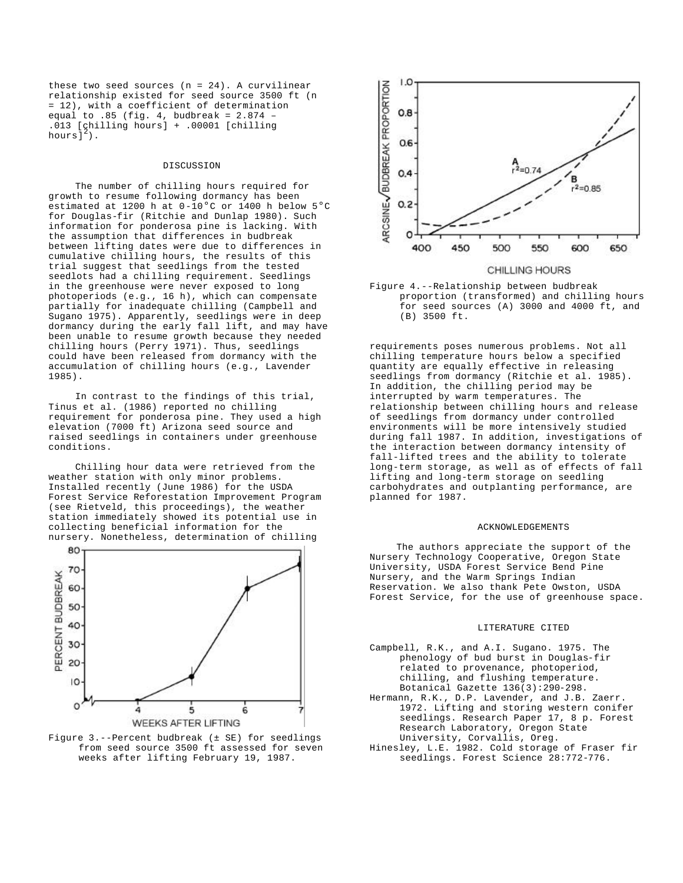these two seed sources  $(n = 24)$ . A curvilinear relationship existed for seed source 3500 ft (n = 12), with a coefficient of determination equal to .85 (fig. 4, budbreak = 2.874 – .013 [chilling hours] + .00001 [chilling hours]<sup>2</sup>).

# **DISCUSSION**

The number of chilling hours required for growth to resume following dormancy has been estimated at 1200 h at 0-10°C or 1400 h below 5°C for Douglas-fir (Ritchie and Dunlap 1980). Such information for ponderosa pine is lacking. With the assumption that differences in budbreak between lifting dates were due to differences in cumulative chilling hours, the results of this trial suggest that seedlings from the tested seedlots had a chilling requirement. Seedlings in the greenhouse were never exposed to long photoperiods (e.g., 16 h), which can compensate partially for inadequate chilling (Campbell and Sugano 1975). Apparently, seedlings were in deep dormancy during the early fall lift, and may have been unable to resume growth because they needed chilling hours (Perry 1971). Thus, seedlings could have been released from dormancy with the accumulation of chilling hours (e.g., Lavender 1985).

In contrast to the findings of this trial, Tinus et al. (1986) reported no chilling requirement for ponderosa pine. They used a high elevation (7000 ft) Arizona seed source and raised seedlings in containers under greenhouse conditions.

Chilling hour data were retrieved from the weather station with only minor problems. Installed recently (June 1986) for the USDA Forest Service Reforestation Improvement Program (see Rietveld, this proceedings), the weather station immediately showed its potential use in collecting beneficial information for the nursery. Nonetheless, determination of chilling



Figure 3.--Percent budbreak (± SE) for seedlings from seed source 3500 ft assessed for seven weeks after lifting February 19, 1987.



# CHILLING HOURS

Figure 4.--Relationship between budbreak proportion (transformed) and chilling hours for seed sources (A) 3000 and 4000 ft, and (B) 3500 ft.

requirements poses numerous problems. Not all chilling temperature hours below a specified quantity are equally effective in releasing seedlings from dormancy (Ritchie et al. 1985). In addition, the chilling period may be interrupted by warm temperatures. The relationship between chilling hours and release of seedlings from dormancy under controlled environments will be more intensively studied during fall 1987. In addition, investigations of the interaction between dormancy intensity of fall-lifted trees and the ability to tolerate long-term storage, as well as of effects of fall lifting and long-term storage on seedling carbohydrates and outplanting performance, are planned for 1987.

#### ACKNOWLEDGEMENTS

The authors appreciate the support of the Nursery Technology Cooperative, Oregon State University, USDA Forest Service Bend Pine Nursery, and the Warm Springs Indian Reservation. We also thank Pete Owston, USDA Forest Service, for the use of greenhouse space.

#### LITERATURE CITED

- Campbell, R.K., and A.I. Sugano. 1975. The phenology of bud burst in Douglas-fir related to provenance, photoperiod, chilling, and flushing temperature. Botanical Gazette 136(3):290-298.
- Hermann, R.K., D.P. Lavender, and J.B. Zaerr. 1972. Lifting and storing western conifer seedlings. Research Paper 17, 8 p. Forest Research Laboratory, Oregon State University, Corvallis, Oreg.
- Hinesley, L.E. 1982. Cold storage of Fraser fir seedlings. Forest Science 28:772-776.